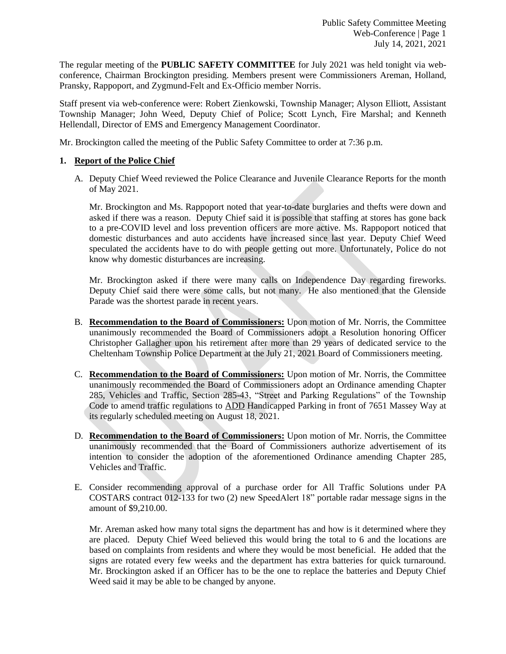The regular meeting of the **PUBLIC SAFETY COMMITTEE** for July 2021 was held tonight via webconference, Chairman Brockington presiding. Members present were Commissioners Areman, Holland, Pransky, Rappoport, and Zygmund-Felt and Ex-Officio member Norris.

Staff present via web-conference were: Robert Zienkowski, Township Manager; Alyson Elliott, Assistant Township Manager; John Weed, Deputy Chief of Police; Scott Lynch, Fire Marshal; and Kenneth Hellendall, Director of EMS and Emergency Management Coordinator.

Mr. Brockington called the meeting of the Public Safety Committee to order at 7:36 p.m.

# **1. Report of the Police Chief**

A. Deputy Chief Weed reviewed the Police Clearance and Juvenile Clearance Reports for the month of May 2021.

Mr. Brockington and Ms. Rappoport noted that year-to-date burglaries and thefts were down and asked if there was a reason. Deputy Chief said it is possible that staffing at stores has gone back to a pre-COVID level and loss prevention officers are more active. Ms. Rappoport noticed that domestic disturbances and auto accidents have increased since last year. Deputy Chief Weed speculated the accidents have to do with people getting out more. Unfortunately, Police do not know why domestic disturbances are increasing.

Mr. Brockington asked if there were many calls on Independence Day regarding fireworks. Deputy Chief said there were some calls, but not many. He also mentioned that the Glenside Parade was the shortest parade in recent years.

- B. **Recommendation to the Board of Commissioners:** Upon motion of Mr. Norris, the Committee unanimously recommended the Board of Commissioners adopt a Resolution honoring Officer Christopher Gallagher upon his retirement after more than 29 years of dedicated service to the Cheltenham Township Police Department at the July 21, 2021 Board of Commissioners meeting.
- C. **Recommendation to the Board of Commissioners:** Upon motion of Mr. Norris, the Committee unanimously recommended the Board of Commissioners adopt an Ordinance amending Chapter 285, Vehicles and Traffic, Section 285-43, "Street and Parking Regulations" of the Township Code to amend traffic regulations to ADD Handicapped Parking in front of 7651 Massey Way at its regularly scheduled meeting on August 18, 2021.
- D. **Recommendation to the Board of Commissioners:** Upon motion of Mr. Norris, the Committee unanimously recommended that the Board of Commissioners authorize advertisement of its intention to consider the adoption of the aforementioned Ordinance amending Chapter 285, Vehicles and Traffic.
- E. Consider recommending approval of a purchase order for All Traffic Solutions under PA COSTARS contract 012-133 for two (2) new SpeedAlert 18" portable radar message signs in the amount of \$9,210.00.

Mr. Areman asked how many total signs the department has and how is it determined where they are placed. Deputy Chief Weed believed this would bring the total to 6 and the locations are based on complaints from residents and where they would be most beneficial. He added that the signs are rotated every few weeks and the department has extra batteries for quick turnaround. Mr. Brockington asked if an Officer has to be the one to replace the batteries and Deputy Chief Weed said it may be able to be changed by anyone.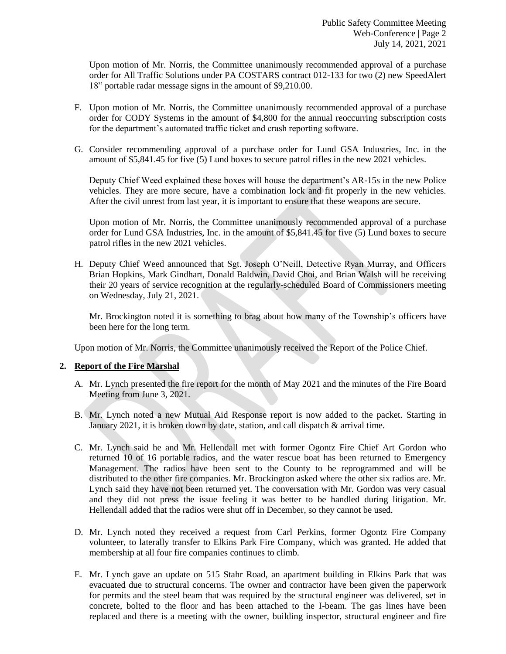Upon motion of Mr. Norris, the Committee unanimously recommended approval of a purchase order for All Traffic Solutions under PA COSTARS contract 012-133 for two (2) new SpeedAlert 18" portable radar message signs in the amount of \$9,210.00.

- F. Upon motion of Mr. Norris, the Committee unanimously recommended approval of a purchase order for CODY Systems in the amount of \$4,800 for the annual reoccurring subscription costs for the department's automated traffic ticket and crash reporting software.
- G. Consider recommending approval of a purchase order for Lund GSA Industries, Inc. in the amount of \$5,841.45 for five (5) Lund boxes to secure patrol rifles in the new 2021 vehicles.

Deputy Chief Weed explained these boxes will house the department's AR-15s in the new Police vehicles. They are more secure, have a combination lock and fit properly in the new vehicles. After the civil unrest from last year, it is important to ensure that these weapons are secure.

Upon motion of Mr. Norris, the Committee unanimously recommended approval of a purchase order for Lund GSA Industries, Inc. in the amount of \$5,841.45 for five (5) Lund boxes to secure patrol rifles in the new 2021 vehicles.

H. Deputy Chief Weed announced that Sgt. Joseph O'Neill, Detective Ryan Murray, and Officers Brian Hopkins, Mark Gindhart, Donald Baldwin, David Choi, and Brian Walsh will be receiving their 20 years of service recognition at the regularly-scheduled Board of Commissioners meeting on Wednesday, July 21, 2021.

Mr. Brockington noted it is something to brag about how many of the Township's officers have been here for the long term.

Upon motion of Mr. Norris, the Committee unanimously received the Report of the Police Chief.

# **2. Report of the Fire Marshal**

- A. Mr. Lynch presented the fire report for the month of May 2021 and the minutes of the Fire Board Meeting from June 3, 2021.
- B. Mr. Lynch noted a new Mutual Aid Response report is now added to the packet. Starting in January 2021, it is broken down by date, station, and call dispatch & arrival time.
- C. Mr. Lynch said he and Mr. Hellendall met with former Ogontz Fire Chief Art Gordon who returned 10 of 16 portable radios, and the water rescue boat has been returned to Emergency Management. The radios have been sent to the County to be reprogrammed and will be distributed to the other fire companies. Mr. Brockington asked where the other six radios are. Mr. Lynch said they have not been returned yet. The conversation with Mr. Gordon was very casual and they did not press the issue feeling it was better to be handled during litigation. Mr. Hellendall added that the radios were shut off in December, so they cannot be used.
- D. Mr. Lynch noted they received a request from Carl Perkins, former Ogontz Fire Company volunteer, to laterally transfer to Elkins Park Fire Company, which was granted. He added that membership at all four fire companies continues to climb.
- E. Mr. Lynch gave an update on 515 Stahr Road, an apartment building in Elkins Park that was evacuated due to structural concerns. The owner and contractor have been given the paperwork for permits and the steel beam that was required by the structural engineer was delivered, set in concrete, bolted to the floor and has been attached to the I-beam. The gas lines have been replaced and there is a meeting with the owner, building inspector, structural engineer and fire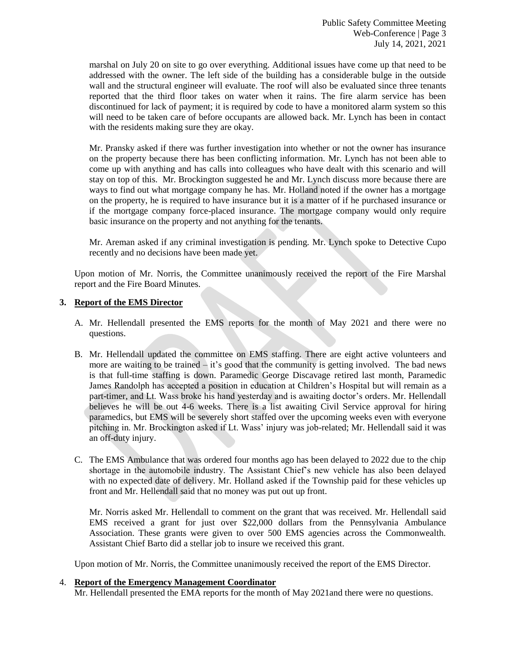marshal on July 20 on site to go over everything. Additional issues have come up that need to be addressed with the owner. The left side of the building has a considerable bulge in the outside wall and the structural engineer will evaluate. The roof will also be evaluated since three tenants reported that the third floor takes on water when it rains. The fire alarm service has been discontinued for lack of payment; it is required by code to have a monitored alarm system so this will need to be taken care of before occupants are allowed back. Mr. Lynch has been in contact with the residents making sure they are okay.

Mr. Pransky asked if there was further investigation into whether or not the owner has insurance on the property because there has been conflicting information. Mr. Lynch has not been able to come up with anything and has calls into colleagues who have dealt with this scenario and will stay on top of this. Mr. Brockington suggested he and Mr. Lynch discuss more because there are ways to find out what mortgage company he has. Mr. Holland noted if the owner has a mortgage on the property, he is required to have insurance but it is a matter of if he purchased insurance or if the mortgage company force-placed insurance. The mortgage company would only require basic insurance on the property and not anything for the tenants.

Mr. Areman asked if any criminal investigation is pending. Mr. Lynch spoke to Detective Cupo recently and no decisions have been made yet.

Upon motion of Mr. Norris, the Committee unanimously received the report of the Fire Marshal report and the Fire Board Minutes.

### **3. Report of the EMS Director**

- A. Mr. Hellendall presented the EMS reports for the month of May 2021 and there were no questions.
- B. Mr. Hellendall updated the committee on EMS staffing. There are eight active volunteers and more are waiting to be trained  $-$  it's good that the community is getting involved. The bad news is that full-time staffing is down. Paramedic George Discavage retired last month, Paramedic James Randolph has accepted a position in education at Children's Hospital but will remain as a part-timer, and Lt. Wass broke his hand yesterday and is awaiting doctor's orders. Mr. Hellendall believes he will be out 4-6 weeks. There is a list awaiting Civil Service approval for hiring paramedics, but EMS will be severely short staffed over the upcoming weeks even with everyone pitching in. Mr. Brockington asked if Lt. Wass' injury was job-related; Mr. Hellendall said it was an off-duty injury.
- C. The EMS Ambulance that was ordered four months ago has been delayed to 2022 due to the chip shortage in the automobile industry. The Assistant Chief's new vehicle has also been delayed with no expected date of delivery. Mr. Holland asked if the Township paid for these vehicles up front and Mr. Hellendall said that no money was put out up front.

Mr. Norris asked Mr. Hellendall to comment on the grant that was received. Mr. Hellendall said EMS received a grant for just over \$22,000 dollars from the Pennsylvania Ambulance Association. These grants were given to over 500 EMS agencies across the Commonwealth. Assistant Chief Barto did a stellar job to insure we received this grant.

Upon motion of Mr. Norris, the Committee unanimously received the report of the EMS Director.

### 4. **Report of the Emergency Management Coordinator**

Mr. Hellendall presented the EMA reports for the month of May 2021and there were no questions.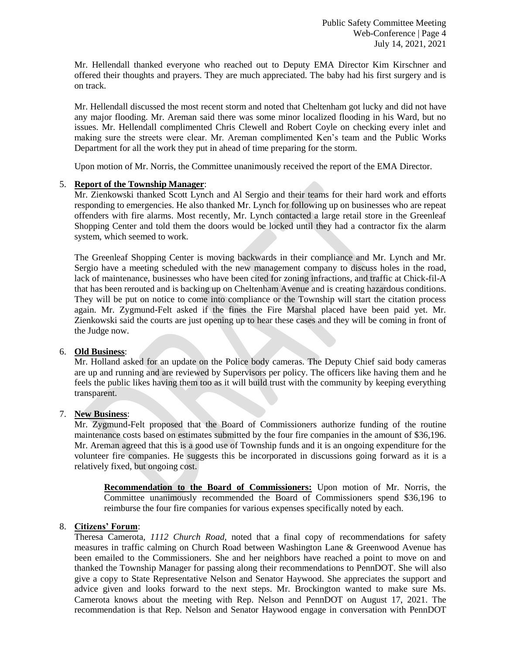Mr. Hellendall thanked everyone who reached out to Deputy EMA Director Kim Kirschner and offered their thoughts and prayers. They are much appreciated. The baby had his first surgery and is on track.

Mr. Hellendall discussed the most recent storm and noted that Cheltenham got lucky and did not have any major flooding. Mr. Areman said there was some minor localized flooding in his Ward, but no issues. Mr. Hellendall complimented Chris Clewell and Robert Coyle on checking every inlet and making sure the streets were clear. Mr. Areman complimented Ken's team and the Public Works Department for all the work they put in ahead of time preparing for the storm.

Upon motion of Mr. Norris, the Committee unanimously received the report of the EMA Director.

## 5. **Report of the Township Manager**:

Mr. Zienkowski thanked Scott Lynch and Al Sergio and their teams for their hard work and efforts responding to emergencies. He also thanked Mr. Lynch for following up on businesses who are repeat offenders with fire alarms. Most recently, Mr. Lynch contacted a large retail store in the Greenleaf Shopping Center and told them the doors would be locked until they had a contractor fix the alarm system, which seemed to work.

The Greenleaf Shopping Center is moving backwards in their compliance and Mr. Lynch and Mr. Sergio have a meeting scheduled with the new management company to discuss holes in the road, lack of maintenance, businesses who have been cited for zoning infractions, and traffic at Chick-fil-A that has been rerouted and is backing up on Cheltenham Avenue and is creating hazardous conditions. They will be put on notice to come into compliance or the Township will start the citation process again. Mr. Zygmund-Felt asked if the fines the Fire Marshal placed have been paid yet. Mr. Zienkowski said the courts are just opening up to hear these cases and they will be coming in front of the Judge now.

### 6. **Old Business**:

Mr. Holland asked for an update on the Police body cameras. The Deputy Chief said body cameras are up and running and are reviewed by Supervisors per policy. The officers like having them and he feels the public likes having them too as it will build trust with the community by keeping everything transparent.

### 7. **New Business**:

Mr. Zygmund-Felt proposed that the Board of Commissioners authorize funding of the routine maintenance costs based on estimates submitted by the four fire companies in the amount of \$36,196. Mr. Areman agreed that this is a good use of Township funds and it is an ongoing expenditure for the volunteer fire companies. He suggests this be incorporated in discussions going forward as it is a relatively fixed, but ongoing cost.

**Recommendation to the Board of Commissioners:** Upon motion of Mr. Norris, the Committee unanimously recommended the Board of Commissioners spend \$36,196 to reimburse the four fire companies for various expenses specifically noted by each.

### 8. **Citizens' Forum**:

Theresa Camerota, *1112 Church Road,* noted that a final copy of recommendations for safety measures in traffic calming on Church Road between Washington Lane & Greenwood Avenue has been emailed to the Commissioners. She and her neighbors have reached a point to move on and thanked the Township Manager for passing along their recommendations to PennDOT. She will also give a copy to State Representative Nelson and Senator Haywood. She appreciates the support and advice given and looks forward to the next steps. Mr. Brockington wanted to make sure Ms. Camerota knows about the meeting with Rep. Nelson and PennDOT on August 17, 2021. The recommendation is that Rep. Nelson and Senator Haywood engage in conversation with PennDOT